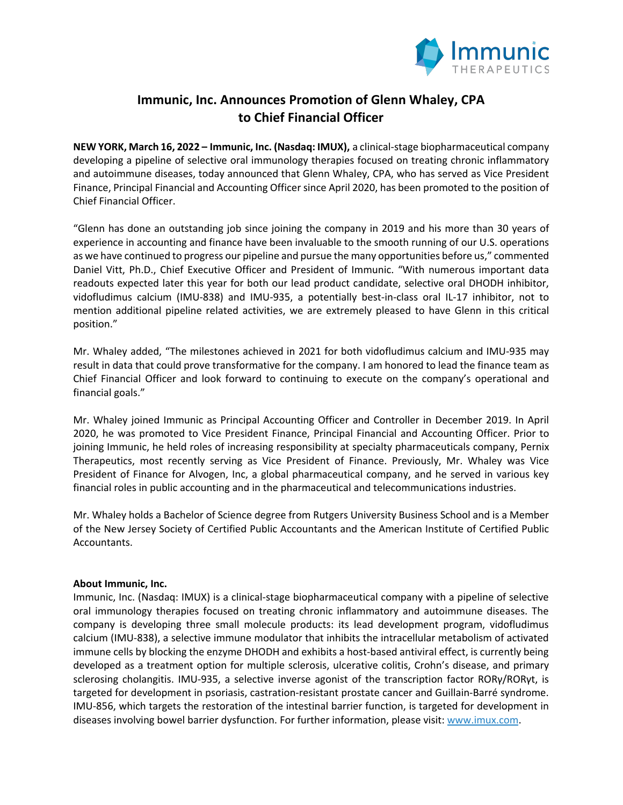

## **Immunic, Inc. Announces Promotion of Glenn Whaley, CPA to Chief Financial Officer**

**NEW YORK, March 16, 2022 – Immunic, Inc. (Nasdaq: IMUX),** a clinical-stage biopharmaceutical company developing a pipeline of selective oral immunology therapies focused on treating chronic inflammatory and autoimmune diseases, today announced that Glenn Whaley, CPA, who has served as Vice President Finance, Principal Financial and Accounting Officer since April 2020, has been promoted to the position of Chief Financial Officer.

"Glenn has done an outstanding job since joining the company in 2019 and his more than 30 years of experience in accounting and finance have been invaluable to the smooth running of our U.S. operations as we have continued to progress our pipeline and pursue the many opportunities before us," commented Daniel Vitt, Ph.D., Chief Executive Officer and President of Immunic. "With numerous important data readouts expected later this year for both our lead product candidate, selective oral DHODH inhibitor, vidofludimus calcium (IMU-838) and IMU-935, a potentially best-in-class oral IL-17 inhibitor, not to mention additional pipeline related activities, we are extremely pleased to have Glenn in this critical position."

Mr. Whaley added, "The milestones achieved in 2021 for both vidofludimus calcium and IMU-935 may result in data that could prove transformative for the company. I am honored to lead the finance team as Chief Financial Officer and look forward to continuing to execute on the company's operational and financial goals."

Mr. Whaley joined Immunic as Principal Accounting Officer and Controller in December 2019. In April 2020, he was promoted to Vice President Finance, Principal Financial and Accounting Officer. Prior to joining Immunic, he held roles of increasing responsibility at specialty pharmaceuticals company, Pernix Therapeutics, most recently serving as Vice President of Finance. Previously, Mr. Whaley was Vice President of Finance for Alvogen, Inc, a global pharmaceutical company, and he served in various key financial roles in public accounting and in the pharmaceutical and telecommunications industries.

Mr. Whaley holds a Bachelor of Science degree from Rutgers University Business School and is a Member of the New Jersey Society of Certified Public Accountants and the American Institute of Certified Public Accountants.

## **About Immunic, Inc.**

Immunic, Inc. (Nasdaq: IMUX) is a clinical-stage biopharmaceutical company with a pipeline of selective oral immunology therapies focused on treating chronic inflammatory and autoimmune diseases. The company is developing three small molecule products: its lead development program, vidofludimus calcium (IMU-838), a selective immune modulator that inhibits the intracellular metabolism of activated immune cells by blocking the enzyme DHODH and exhibits a host-based antiviral effect, is currently being developed as a treatment option for multiple sclerosis, ulcerative colitis, Crohn's disease, and primary sclerosing cholangitis. IMU-935, a selective inverse agonist of the transcription factor RORγ/RORγt, is targeted for development in psoriasis, castration-resistant prostate cancer and Guillain-Barré syndrome. IMU-856, which targets the restoration of the intestinal barrier function, is targeted for development in diseases involving bowel barrier dysfunction. For further information, please visit: www.imux.com.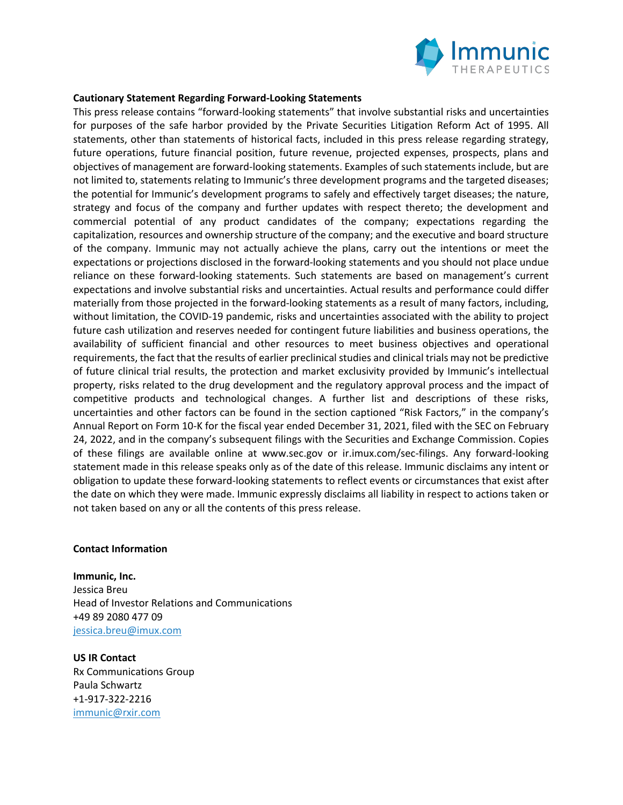

## **Cautionary Statement Regarding Forward-Looking Statements**

This press release contains "forward-looking statements" that involve substantial risks and uncertainties for purposes of the safe harbor provided by the Private Securities Litigation Reform Act of 1995. All statements, other than statements of historical facts, included in this press release regarding strategy, future operations, future financial position, future revenue, projected expenses, prospects, plans and objectives of management are forward-looking statements. Examples of such statements include, but are not limited to, statements relating to Immunic's three development programs and the targeted diseases; the potential for Immunic's development programs to safely and effectively target diseases; the nature, strategy and focus of the company and further updates with respect thereto; the development and commercial potential of any product candidates of the company; expectations regarding the capitalization, resources and ownership structure of the company; and the executive and board structure of the company. Immunic may not actually achieve the plans, carry out the intentions or meet the expectations or projections disclosed in the forward-looking statements and you should not place undue reliance on these forward-looking statements. Such statements are based on management's current expectations and involve substantial risks and uncertainties. Actual results and performance could differ materially from those projected in the forward-looking statements as a result of many factors, including, without limitation, the COVID-19 pandemic, risks and uncertainties associated with the ability to project future cash utilization and reserves needed for contingent future liabilities and business operations, the availability of sufficient financial and other resources to meet business objectives and operational requirements, the fact that the results of earlier preclinical studies and clinical trials may not be predictive of future clinical trial results, the protection and market exclusivity provided by Immunic's intellectual property, risks related to the drug development and the regulatory approval process and the impact of competitive products and technological changes. A further list and descriptions of these risks, uncertainties and other factors can be found in the section captioned "Risk Factors," in the company's Annual Report on Form 10-K for the fiscal year ended December 31, 2021, filed with the SEC on February 24, 2022, and in the company's subsequent filings with the Securities and Exchange Commission. Copies of these filings are available online at www.sec.gov or ir.imux.com/sec-filings. Any forward-looking statement made in this release speaks only as of the date of this release. Immunic disclaims any intent or obligation to update these forward-looking statements to reflect events or circumstances that exist after the date on which they were made. Immunic expressly disclaims all liability in respect to actions taken or not taken based on any or all the contents of this press release.

## **Contact Information**

**Immunic, Inc.** Jessica Breu Head of Investor Relations and Communications +49 89 2080 477 09 jessica.breu@imux.com

**US IR Contact** Rx Communications Group Paula Schwartz +1-917-322-2216 immunic@rxir.com